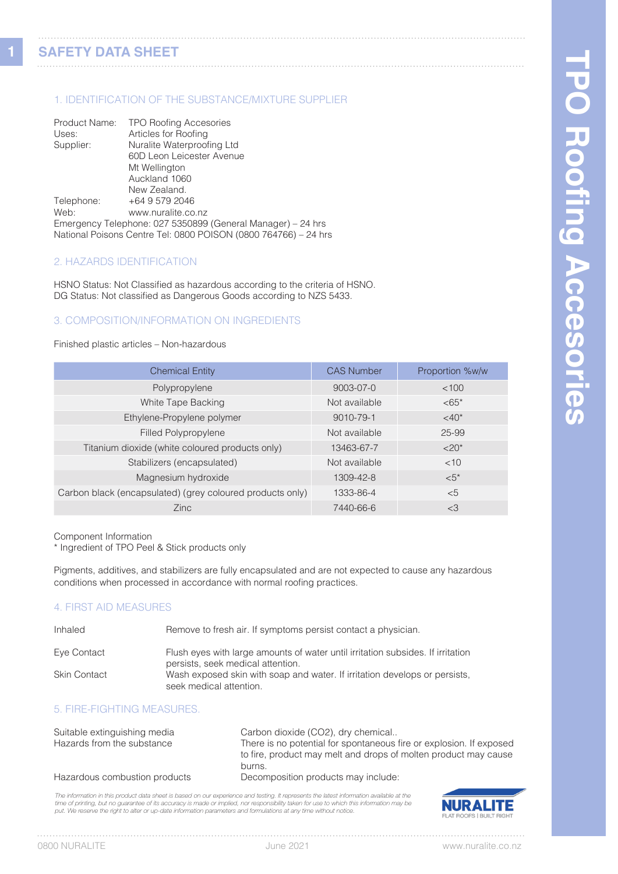**1**

## 1. IDENTIFICATION OF THE SUBSTANCE/MIXTURE SUPPLIER

| Product Name: | <b>TPO Roofing Accesories</b>                                   |
|---------------|-----------------------------------------------------------------|
| Uses:         | Articles for Roofing                                            |
| Supplier:     | Nuralite Waterproofing Ltd                                      |
|               | 60D Leon Leicester Avenue                                       |
|               | Mt Wellington                                                   |
|               | Auckland 1060                                                   |
|               | New Zealand.                                                    |
| Telephone:    | +64 9 579 2046                                                  |
| Web:          | www.nuralite.co.nz                                              |
|               | Emergency Telephone: 027 5350899 (General Manager) – 24 hrs     |
|               | National Poisons Centre Tel: 0800 POISON (0800 764766) - 24 hrs |

## 2. HAZARDS IDENTIFICATION

HSNO Status: Not Classified as hazardous according to the criteria of HSNO. DG Status: Not classified as Dangerous Goods according to NZS 5433.

# 3. COMPOSITION/INFORMATION ON INGREDIENTS

#### Finished plastic articles – Non-hazardous

| <b>Chemical Entity</b>                                    | <b>CAS Number</b> | Proportion %w/w     |
|-----------------------------------------------------------|-------------------|---------------------|
| Polypropylene                                             | $9003 - 07 - 0$   | <100                |
| White Tape Backing                                        | Not available     | $<65*$              |
| Ethylene-Propylene polymer                                | 9010-79-1         | $<$ 40 <sup>*</sup> |
| Filled Polypropylene                                      | Not available     | 25-99               |
| Titanium dioxide (white coloured products only)           | 13463-67-7        | $<20*$              |
| Stabilizers (encapsulated)                                | Not available     | <10                 |
| Magnesium hydroxide                                       | 1309-42-8         | $\leq 5^*$          |
| Carbon black (encapsulated) (grey coloured products only) | 1333-86-4         | &5                  |
| Zinc.                                                     | 7440-66-6         | <3                  |
|                                                           |                   |                     |

Component Information

\* Ingredient of TPO Peel & Stick products only

Pigments, additives, and stabilizers are fully encapsulated and are not expected to cause any hazardous conditions when processed in accordance with normal roofing practices.

## 4. FIRST AID MEASURES

| Inhaled             | Remove to fresh air. If symptoms persist contact a physician.                                                        |
|---------------------|----------------------------------------------------------------------------------------------------------------------|
| Eye Contact         | Flush eyes with large amounts of water until irritation subsides. If irritation<br>persists, seek medical attention. |
| <b>Skin Contact</b> | Wash exposed skin with soap and water. If irritation develops or persists,<br>seek medical attention.                |

## 5. FIRE-FIGHTING MEASURES.

| Suitable extinguishing media  | Carbon dioxide (CO2), dry chemical                                  |
|-------------------------------|---------------------------------------------------------------------|
| Hazards from the substance    | There is no potential for spontaneous fire or explosion. If exposed |
|                               | to fire, product may melt and drops of molten product may cause     |
|                               | burns.                                                              |
| Hazardous combustion products | Decomposition products may include:                                 |
|                               |                                                                     |

*The information in this product data sheet is based on our experience and testing. It represents the latest information available at the*  time of printing, but no guarantee of its accuracy is made or implied, nor responsibility taken for use to which this information may be<br>put. We reserve the right to alter or up-date information parameters and formulations

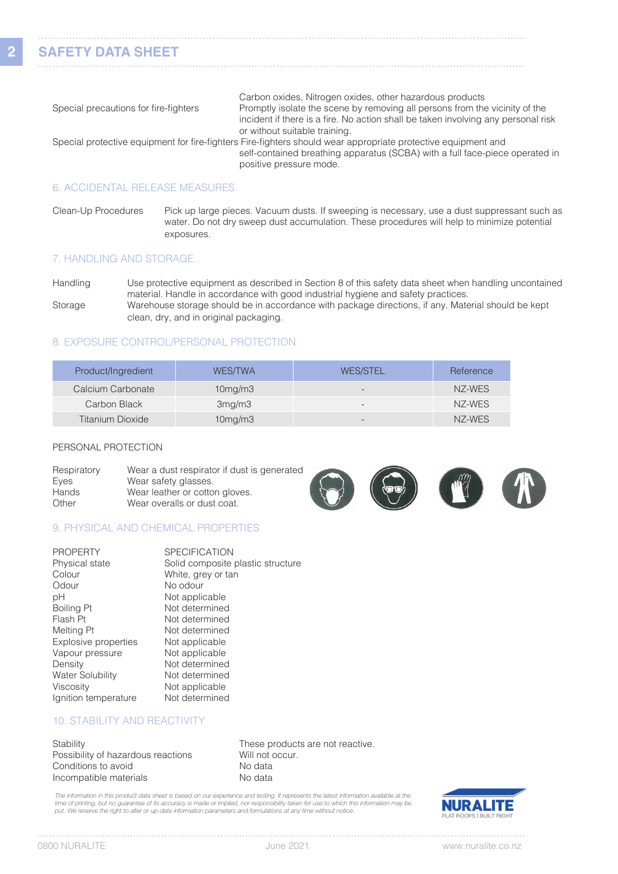**2**

|                                                                                                               | Carbon oxides, Nitrogen oxides, other hazardous products                          |  |
|---------------------------------------------------------------------------------------------------------------|-----------------------------------------------------------------------------------|--|
| Special precautions for fire-fighters                                                                         | Promptly isolate the scene by removing all persons from the vicinity of the       |  |
|                                                                                                               | incident if there is a fire. No action shall be taken involving any personal risk |  |
|                                                                                                               | or without suitable training.                                                     |  |
| Special protective equipment for fire-fighters Fire-fighters should wear appropriate protective equipment and |                                                                                   |  |
|                                                                                                               | self-contained breathing apparatus (SCBA) with a full face-piece operated in      |  |
|                                                                                                               | positive pressure mode.                                                           |  |
|                                                                                                               |                                                                                   |  |

### 6. ACCIDENTAL RELEASE MEASURES.

Clean-Up Procedures Pick up large pieces. Vacuum dusts. If sweeping is necessary, use a dust suppressant such as water. Do not dry sweep dust accumulation. These procedures will help to minimize potential exposures.

## 7. HANDLING AND STORAGE.

Handling Use protective equipment as described in Section 8 of this safety data sheet when handling uncontained material. Handle in accordance with good industrial hygiene and safety practices. Storage Warehouse storage should be in accordance with package directions, if any. Material should be kept clean, dry, and in original packaging.

## 8. EXPOSURE CONTROL/PERSONAL PROTECTION

| Product/Ingredient | <b>WES/TWA</b>       | <b>WES/STEL</b>          | Reference |
|--------------------|----------------------|--------------------------|-----------|
| Calcium Carbonate  | 10 <sub>mg</sub> /m3 | $\overline{\phantom{0}}$ | NZ-WES    |
| Carbon Black       | 3mg/m3               | $\qquad \qquad -$        | NZ-WES    |
| Titanium Dioxide   | 10mg/m3              | $\overline{\phantom{0}}$ | NZ-WES    |

#### PERSONAL PROTECTION

| Respiratory<br>Eyes | Wear a dust respirator if dust is generated<br>Wear safety glasses. |  | $\mathbf{m}$ |  |
|---------------------|---------------------------------------------------------------------|--|--------------|--|
| Hands<br>Other      | Wear leather or cotton gloves.<br>Wear overalls or dust coat.       |  |              |  |

## 9. PHYSICAL AND CHEMICAL PROPERTIES

| <b>PROPERTY</b>         | <b>SPECIFICATION</b>              |
|-------------------------|-----------------------------------|
| Physical state          | Solid composite plastic structure |
| Colour                  | White, grey or tan                |
| Odour                   | No odour                          |
| рH                      | Not applicable                    |
| Boiling Pt              | Not determined                    |
| Flash Pt                | Not determined                    |
| Melting Pt              | Not determined                    |
| Explosive properties    | Not applicable                    |
| Vapour pressure         | Not applicable                    |
| Density                 | Not determined                    |
| <b>Water Solubility</b> | Not determined                    |
| Viscosity               | Not applicable                    |
| Ignition temperature    | Not determined                    |

# 10. STABILITY AND REACTIVITY

Stability **Stability These products are not reactive.** Possibility of hazardous reactions Will not occur.<br>
Conditions to avoid No data Conditions to avoid Incompatible materials No data

The information in this product data sheet is based on our experience and testing. It represents the latest information available at the time of printing, but no guarantee of its accuracy is made or implied, nor responsibility taken for use to which this information may be<br>put. We reserve the right to alter or up-date information parameters and formulations



 $1.1.1.1$